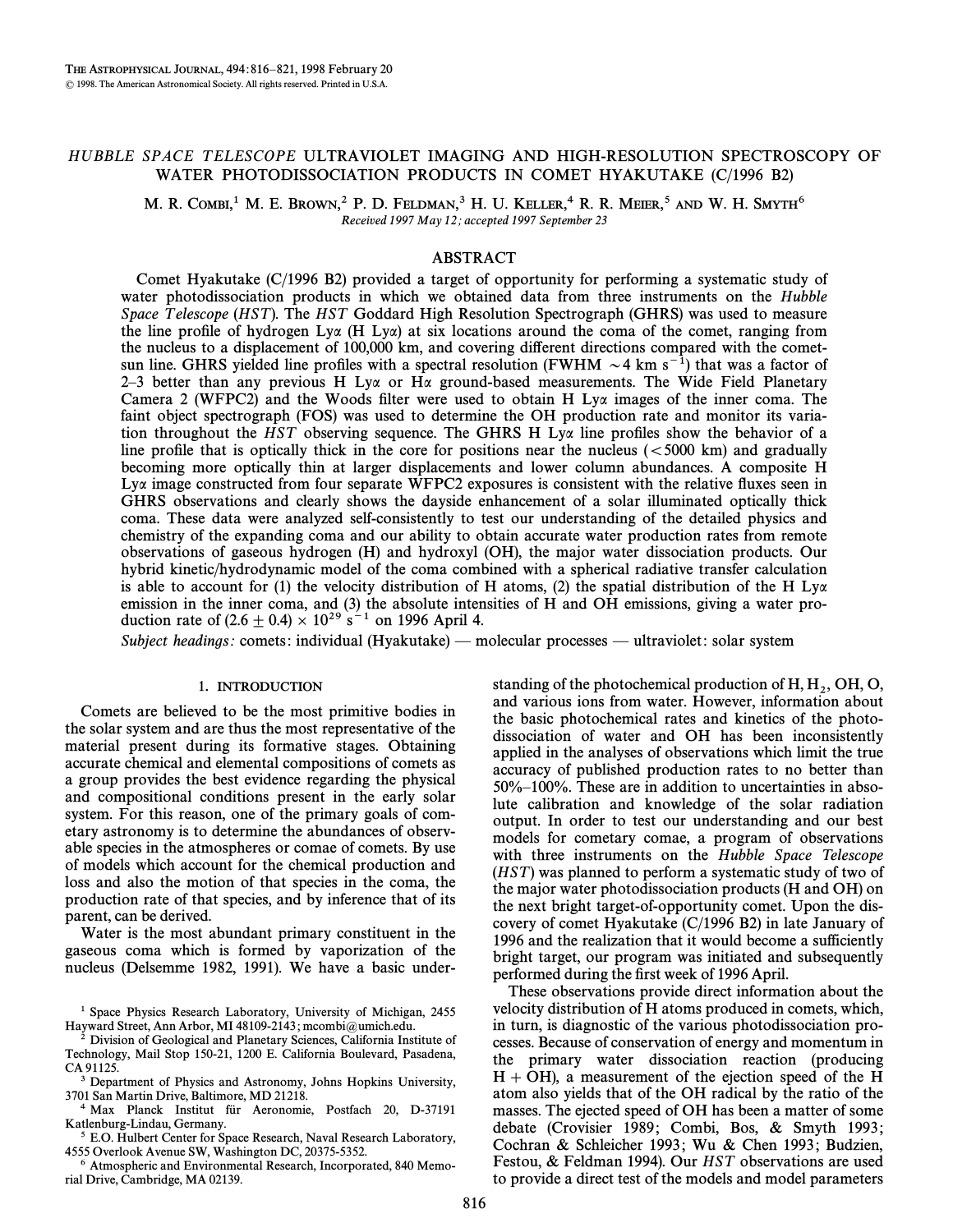# HUBBLE SPACE TELESCOPE ULTRAVIOLET IMAGING AND HIGH-RESOLUTION SPECTROSCOPY OF WATER PHOTODISSOCIATION PRODUCTS IN COMET HYAKUTAKE (C/1996 B2)

M. R. COMBI,<sup>1</sup> M. E. BROWN,<sup>2</sup> P. D. FELDMAN,<sup>3</sup> H. U. KELLER,<sup>4</sup> R. R. MEIER,<sup>5</sup> AND W. H. SMYTH<sup>6</sup> Received 1997 May 12; accepted 1997 September 23

## ABSTRACT

Comet Hyakutake (C/1996 B2) provided a target of opportunity for performing a systematic study of water photodissociation products in which we obtained data from three instruments on the Hubble Space Telescope (HST). The HST Goddard High Resolution Spectrograph (GHRS) was used to measure the line profile of hydrogen Lya (H Lya) at six locations around the coma of the comet, ranging from the nucleus to a displacement of 100,000 km, and covering di†erent directions compared with the cometsun line. GHRS yielded line profiles with a spectral resolution (FWHM  $\sim$  4 km s<sup>-1</sup>) that was a factor of 2–3 better than any previous H Ly $\alpha$  or H $\alpha$  ground-based measurements. The Wide Field Planetary Camera 2 (WFPC2) and the Woods filter were used to obtain H Ly $\alpha$  images of the inner coma. The faint object spectrograph (FOS) was used to determine the OH production rate and monitor its variation throughout the HST observing sequence. The GHRS H Ly $\alpha$  line profiles show the behavior of a line profile that is optically thick in the core for positions near the nucleus ( $\lt$ 5000 km) and gradually becoming more optically thin at larger displacements and lower column abundances. A composite H  $Ly\alpha$  image constructed from four separate WFPC2 exposures is consistent with the relative fluxes seen in GHRS observations and clearly shows the dayside enhancement of a solar illuminated optically thick coma. These data were analyzed self-consistently to test our understanding of the detailed physics and chemistry of the expanding coma and our ability to obtain accurate water production rates from remote observations of gaseous hydrogen (H) and hydroxyl (OH), the major water dissociation products. Our hybrid kinetic/hydrodynamic model of the coma combined with a spherical radiative transfer calculation is able to account for (1) the velocity distribution of H atoms, (2) the spatial distribution of the H  $Ly\alpha$ emission in the inner coma, and (3) the absolute intensities of H and OH emissions, giving a water production rate of  $(2.6 + 0.4) \times 10^{29}$  s<sup>-1</sup> on 1996 April 4.

Subject headings: comets: individual (Hyakutake) — molecular processes — ultraviolet: solar system

### 1. INTRODUCTION

Comets are believed to be the most primitive bodies in the solar system and are thus the most representative of the material present during its formative stages. Obtaining accurate chemical and elemental compositions of comets as a group provides the best evidence regarding the physical and compositional conditions present in the early solar system. For this reason, one of the primary goals of cometary astronomy is to determine the abundances of observable species in the atmospheres or comae of comets. By use of models which account for the chemical production and loss and also the motion of that species in the coma, the production rate of that species, and by inference that of its parent, can be derived.

Water is the most abundant primary constituent in the gaseous coma which is formed by vaporization of the nucleus (Delsemme 1982, 1991). We have a basic under-

<sup>1</sup> Space Physics Research Laboratory, University of Michigan, 2455 Hayward Street, Ann Arbor, MI 48109-2143; mcombi@umich.edu.<br>
<sup>2</sup> Division of Coclosian Line Div

2 Division of Geological and Planetary Sciences, California Institute of Technology, Mail Stop 150-21, 1200 E. California Boulevard, Pasadena, CA 91125.

3 Department of Physics and Astronomy, Johns Hopkins University, 3701 San Martin Drive, Baltimore, MD 21218.

Max Planck Institut für Aeronomie, Postfach 20, D-37191 Katlenburg-Lindau, Germany.

5 E.O. Hulbert Center for Space Research, Naval Research Laboratory, 4555 Overlook Avenue SW, Washington DC, 20375-5352.

6 Atmospheric and Environmental Research, Incorporated, 840 Memorial Drive, Cambridge, MA 02139.

standing of the photochemical production of  $H, H<sub>2</sub>, OH, O$ , and various ions from water. However, information about and various ions from water. However, information about the basic photochemical rates and kinetics of the photodissociation of water and OH has been inconsistently applied in the analyses of observations which limit the true accuracy of published production rates to no better than  $50\%$ – $100\%$ . These are in addition to uncertainties in absolute calibration and knowledge of the solar radiation output. In order to test our understanding and our best models for cometary comae, a program of observations with three instruments on the Hubble Space Telescope  $(HST)$  was planned to perform a systematic study of two of the major water photodissociation products (H and OH) on the next bright target-of-opportunity comet. Upon the discovery of comet Hyakutake (C/1996 B2) in late January of 1996 and the realization that it would become a sufficiently bright target, our program was initiated and subsequently performed during the first week of 1996 April.

These observations provide direct information about the velocity distribution of H atoms produced in comets, which, in turn, is diagnostic of the various photodissociation processes. Because of conservation of energy and momentum in the primary water dissociation reaction (producing  $H + OH$ ), a measurement of the ejection speed of the H atom also yields that of the OH radical by the ratio of the masses. The ejected speed of OH has been a matter of some debate (Crovisier 1989; Combi, Bos, & Smyth 1993; Cochran & Schleicher 1993; Wu & Chen 1993; Budzien, Festou, & Feldman 1994). Our HST observations are used to provide a direct test of the models and model parameters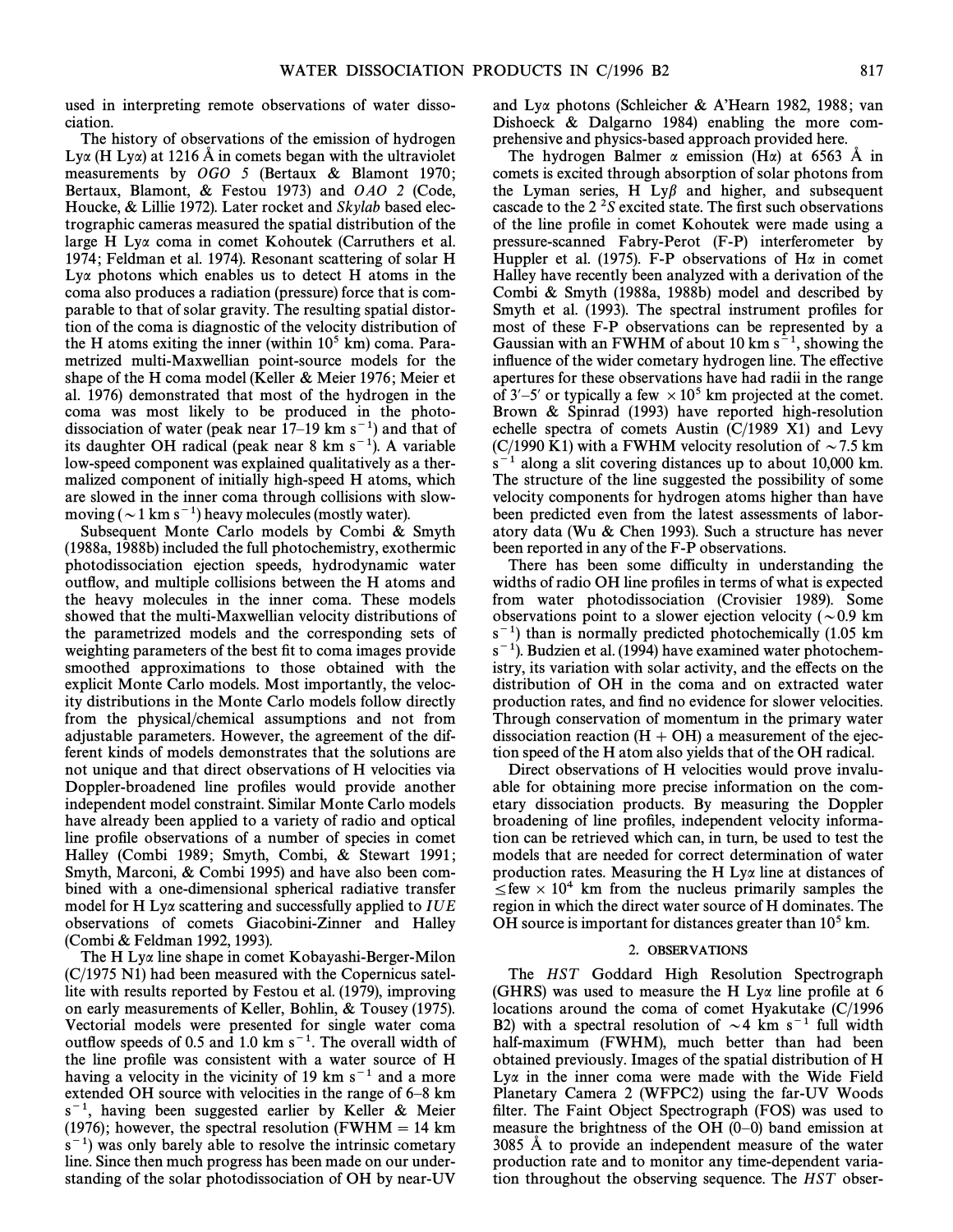used in interpreting remote observations of water dissociation.

The history of observations of the emission of hydrogen Lya (H Lya) at 1216 Å in comets began with the ultraviolet measurements by  $OGO$  5 (Bertaux & Blamont 1970; Bertaux, Blamont, & Festou 1973) and  $OAO$  2 (Code, Houcke, & Lillie 1972). Later rocket and *Skylab* based electrographic cameras measured the spatial distribution of the large H Ly $\alpha$  coma in comet Kohoutek (Carruthers et al. 1974; Feldman et al. 1974). Resonant scattering of solar H  $Ly\alpha$  photons which enables us to detect H atoms in the coma also produces a radiation (pressure) force that is comparable to that of solar gravity. The resulting spatial distortion of the coma is diagnostic of the velocity distribution of the H atoms exiting the inner (within  $10<sup>5</sup>$  km) coma. Parametrized multi-Maxwellian point-source models for the shape of the H coma model (Keller & Meier 1976; Meier et al. 1976) demonstrated that most of the hydrogen in the coma was most likely to be produced in the photodissociation of water (peak near  $17-19$  km s<sup>-1</sup>) and that of its daughter OH radical (peak near  $8 \text{ km s}^{-1}$ ). A variable low-speed component was explained qualitatively as a thermalized component of initially high-speed H atoms, which are slowed in the inner coma through collisions with slowmoving ( $\sim$  1 km s<sup>-1</sup>) heavy molecules (mostly water).

Subsequent Monte Carlo models by Combi  $&$  Smyth (1988a, 1988b) included the full photochemistry, exothermic photodissociation ejection speeds, hydrodynamic water outflow, and multiple collisions between the H atoms and the heavy molecules in the inner coma. These models showed that the multi-Maxwellian velocity distributions of the parametrized models and the corresponding sets of weighting parameters of the best fit to coma images provide smoothed approximations to those obtained with the explicit Monte Carlo models. Most importantly, the velocity distributions in the Monte Carlo models follow directly from the physical/chemical assumptions and not from adjustable parameters. However, the agreement of the different kinds of models demonstrates that the solutions are not unique and that direct observations of H velocities via Doppler-broadened line profiles would provide another independent model constraint. Similar Monte Carlo models have already been applied to a variety of radio and optical line profile observations of a number of species in comet Halley (Combi 1989; Smyth, Combi, & Stewart 1991; Smyth, Marconi, & Combi 1995) and have also been combined with a one-dimensional spherical radiative transfer model for H Ly $\alpha$  scattering and successfully applied to  $IUE$ observations of comets Giacobini-Zinner and Halley (Combi & Feldman 1992, 1993).

The H Lya line shape in comet Kobayashi-Berger-Milon (C/1975 N1) had been measured with the Copernicus satellite with results reported by Festou et al. (1979), improving on early measurements of Keller, Bohlin, & Tousey (1975). Vectorial models were presented for single water coma outflow speeds of 0.5 and 1.0 km  $s^{-1}$ . The overall width of the line profile was consistent with a water source of H having a velocity in the vicinity of 19 km  $s^{-1}$  and a more extended OH source with velocities in the range of  $6-8$  km  $s^{-1}$ , having been suggested earlier by Keller & Meier (1976); however, the spectral resolution (FWHM  $= 14$  km  $s^{-1}$ ) was only barely able to resolve the intrinsic cometary line. Since then much progress has been made on our understanding of the solar photodissociation of OH by near-UV

and Lya photons (Schleicher & A'Hearn 1982, 1988; van Dishoeck & Dalgarno 1984) enabling the more comprehensive and physics-based approach provided here.

The hydrogen Balmer  $\alpha$  emission (H $\alpha$ ) at 6563 Å in comets is excited through absorption of solar photons from the Lyman series, H Ly $\beta$  and higher, and subsequent cascade to the  $2<sup>2</sup>S$  excited state. The first such observations of the line profile in comet Kohoutek were made using a pressure-scanned Fabry-Perot (F-P) interferometer by Huppler et al. (1975). F-P observations of H $\alpha$  in comet Halley have recently been analyzed with a derivation of the Combi & Smyth  $(1988a, 1988b)$  model and described by Smyth et al. (1993). The spectral instrument profiles for most of these F-P observations can be represented by a Gaussian with an FWHM of about 10 km  $s^{-1}$ , showing the influence of the wider cometary hydrogen line. The effective apertures for these observations have had radii in the range of 3'-5' or typically a few  $\times 10^5$  km projected at the comet. Brown  $\&$  Spinrad (1993) have reported high-resolution echelle spectra of comets Austin (C/1989 X1) and Levy (C/1990 K1) with a FWHM velocity resolution of  $\sim$  7.5 km  $s^{-1}$  along a slit covering distances up to about 10,000 km. The structure of the line suggested the possibility of some velocity components for hydrogen atoms higher than have been predicted even from the latest assessments of laboratory data (Wu  $&$  Chen 1993). Such a structure has never been reported in any of the F-P observations.

There has been some difficulty in understanding the widths of radio OH line profiles in terms of what is expected from water photodissociation (Crovisier 1989). Some observations point to a slower ejection velocity ( $\sim 0.9$  km  $s^{-1}$ ) than is normally predicted photochemically (1.05 km)  $s^{-1}$ ). Budzien et al. (1994) have examined water photochemistry, its variation with solar activity, and the effects on the distribution of OH in the coma and on extracted water production rates, and find no evidence for slower velocities. Through conservation of momentum in the primary water dissociation reaction  $(H + OH)$  a measurement of the ejection speed of the H atom also yields that of the OH radical.

Direct observations of H velocities would prove invaluable for obtaining more precise information on the cometary dissociation products. By measuring the Doppler broadening of line profiles, independent velocity information can be retrieved which can, in turn, be used to test the models that are needed for correct determination of water production rates. Measuring the H Ly $\alpha$  line at distances of  $\leq$ few  $\times$  10<sup>4</sup> km from the nucleus primarily samples the region in which the direct water source of H dominates. The OH source is important for distances greater than  $10<sup>5</sup>$  km.

## 2. OBSERVATIONS

The HST Goddard High Resolution Spectrograph (GHRS) was used to measure the H Ly $\alpha$  line profile at 6 locations around the coma of comet Hyakutake (C/1996 B2) with a spectral resolution of  $\sim$  4 km s<sup>-1</sup> full width half-maximum (FWHM), much better than had been obtained previously. Images of the spatial distribution of H Ly $\alpha$  in the inner coma were made with the Wide Field Planetary Camera 2 (WFPC2) using the far-UV Woods filter. The Faint Object Spectrograph (FOS) was used to measure the brightness of the OH  $(0-0)$  band emission at 3085 Å to provide an independent measure of the water production rate and to monitor any time-dependent variation throughout the observing sequence. The HST obser-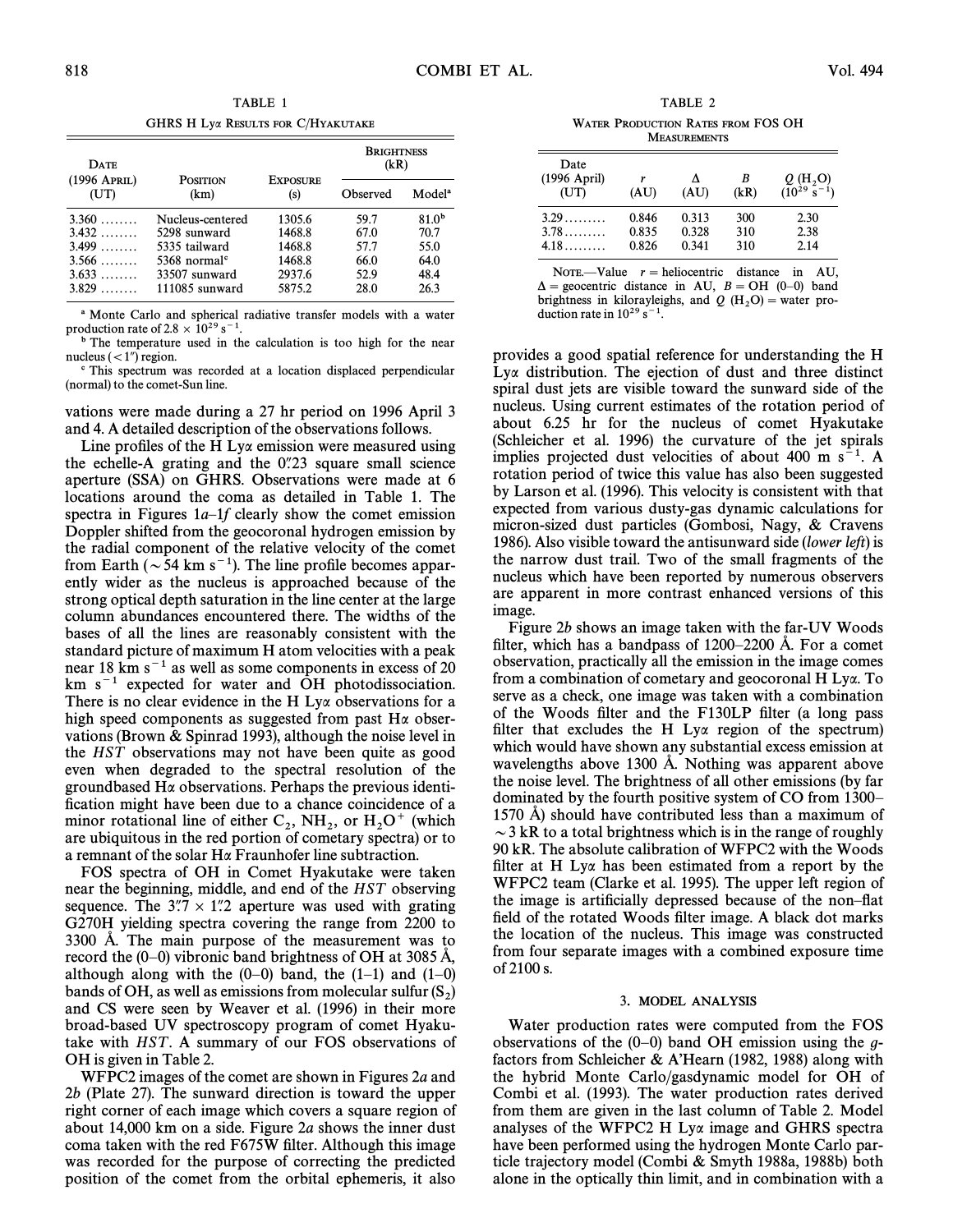GHRS H Lya RESULTS FOR C/HYAKUTAKE

| <b>DATE</b>          |                            |                        | <b>BRIGHTNESS</b><br>(kR) |                    |
|----------------------|----------------------------|------------------------|---------------------------|--------------------|
| (1996 APRIL)<br>(UT) | <b>POSITION</b><br>(km)    | <b>EXPOSURE</b><br>(s) | Observed                  | Model <sup>a</sup> |
| 3.360                | Nucleus-centered           | 1305.6                 | 59.7                      | 81.0 <sup>b</sup>  |
| $3.432$              | 5298 sunward               | 1468.8                 | 67.0                      | 70.7               |
| 3.499                | 5335 tailward              | 1468.8                 | 57.7                      | 55.0               |
| $3.566$              | $5368$ normal <sup>c</sup> | 1468.8                 | 66.0                      | 64.0               |
| $3.633$              | 33507 sunward              | 2937.6                 | 52.9                      | 48.4               |
| 3.829                | 111085 sunward             | 5875.2                 | 28.0                      | 26.3               |

a Monte Carlo and spherical radiative transfer models with a water production rate of 2.8  $\times$  10<sup>29</sup> s<sup>-1</sup>.

b The temperature used in the calculation is too high for the near nucleus  $\left(\langle 1 \rangle\right)$  region.

c This spectrum was recorded at a location displaced perpendicular (normal) to the comet-Sun line.

vations were made during a 27 hr period on 1996 April 3 and 4. A detailed description of the observations follows.

Line profiles of the H Ly $\alpha$  emission were measured using the echelle-A grating and the  $0.23$  square small science aperture (SSA) on GHRS. Observations were made at 6 locations around the coma as detailed in Table 1. The spectra in Figures  $1a$ -1f clearly show the comet emission Doppler shifted from the geocoronal hydrogen emission by the radial component of the relative velocity of the comet from Earth ( $\sim$  54 km s<sup>-1</sup>). The line profile becomes apparently wider as the nucleus is approached because of the strong optical depth saturation in the line center at the large column abundances encountered there. The widths of the bases of all the lines are reasonably consistent with the standard picture of maximum H atom velocities with a peak near 18 km  $s^{-1}$  as well as some components in excess of 20  $km s<sup>-1</sup>$  expected for water and OH photodissociation. There is no clear evidence in the H Ly $\alpha$  observations for a high speed components as suggested from past H $\alpha$  observations (Brown & Spinrad 1993), although the noise level in the HST observations may not have been quite as good even when degraded to the spectral resolution of the groundbased  $H\alpha$  observations. Perhaps the previous identification might have been due to a chance coincidence of a minor rotational line of either  $C_2$ ,  $NH_2$ , or  $H_2O^+$  (which are ubjquitous in the red portion of cometary spectra) or to are ubiquitous in the red portion of cometary spectra) or to a remnant of the solar  $H\alpha$  Fraunhofer line subtraction.

FOS spectra of OH in Comet Hyakutake were taken near the beginning, middle, and end of the HST observing sequence. The  $3\rlap.{''}7 \times 1\rlap.{''}2$  aperture was used with grating G270H yielding spectra covering the range from 2200 to  $3300$  Å. The main purpose of the measurement was to record the  $(0-0)$  vibronic band brightness of OH at 3085 Å, although along with the  $(0-0)$  band, the  $(1-1)$  and  $(1-0)$ bands of OH, as well as emissions from molecular sulfur  $(S_2)$ <br>and CS were seen by Weaver at al. (1996) in their more and CS were seen by Weaver et al. (1996) in their more broad-based UV spectroscopy program of comet Hyakutake with HST. A summary of our FOS observations of OH is given in Table 2.

WFPC2 images of the comet are shown in Figures 2a and 2b (Plate 27). The sunward direction is toward the upper right corner of each image which covers a square region of about 14,000 km on a side. Figure 2a shows the inner dust coma taken with the red F675W filter. Although this image was recorded for the purpose of correcting the predicted position of the comet from the orbital ephemeris, it also

TABLE 2 WATER PRODUCTION RATES FROM FOS OH **MEASUREMENTS** 

| Date<br>$(1996$ April)<br>(TT) | (AU)  | (AU)  | B<br>(kR) | Q(H, O)<br>$(10^{29} \text{ s}^{-1})$ |
|--------------------------------|-------|-------|-----------|---------------------------------------|
| 3.29                           | 0.846 | 0.313 | 300       | 2.30                                  |
| $3.78$                         | 0.835 | 0.328 | 310       | 2.38                                  |
| 4.18                           | 0.826 | 0.341 | 310       | 2.14                                  |

NOTE.—Value  $r =$  heliocentric distance in AU,  $\Delta$  = geocentric distance in AU,  $B = OH$  (0–0) band brightness in kilorayleighs, and Q (H<sub>2</sub>O) = water pro-<br>duction rate in  $10^{29}$  s<sup>-1</sup> duction rate in  $10^{29}$  s<sup>-1</sup>.

provides a good spatial reference for understanding the H  $Ly\alpha$  distribution. The ejection of dust and three distinct spiral dust jets are visible toward the sunward side of the nucleus. Using current estimates of the rotation period of about 6.25 hr for the nucleus of comet Hyakutake (Schleicher et al. 1996) the curvature of the jet spirals implies projected dust velocities of about 400 m  $s^{-1}$ . A rotation period of twice this value has also been suggested by Larson et al. (1996). This velocity is consistent with that expected from various dusty-gas dynamic calculations for micron-sized dust particles (Gombosi, Nagy,  $\&$  Cravens 1986). Also visible toward the antisunward side (lower left) is the narrow dust trail. Two of the small fragments of the nucleus which have been reported by numerous observers are apparent in more contrast enhanced versions of this image.

Figure 2b shows an image taken with the far-UV Woods filter, which has a bandpass of  $1200-2200$  Å. For a comet observation, practically all the emission in the image comes from a combination of cometary and geocoronal H Lya. To serve as a check, one image was taken with a combination of the Woods filter and the F130LP filter (a long pass filter that excludes the H Ly $\alpha$  region of the spectrum) which would have shown any substantial excess emission at wavelengths above 1300 Å. Nothing was apparent above the noise level. The brightness of all other emissions (by far dominated by the fourth positive system of CO from 1300– 1570 A) should have contributed less than a maximum of  $\sim$  3 kR to a total brightness which is in the range of roughly 90 kR. The absolute calibration of WFPC2 with the Woods filter at H Ly $\alpha$  has been estimated from a report by the WFPC2 team (Clarke et al. 1995). The upper left region of the image is artificially depressed because of the non-flat field of the rotated Woods filter image. A black dot marks the location of the nucleus. This image was constructed from four separate images with a combined exposure time of 2100 s.

#### 3. MODEL ANALYSIS

Water production rates were computed from the FOS observations of the  $(0-0)$  band OH emission using the gfactors from Schleicher & A'Hearn (1982, 1988) along with the hybrid Monte Carlo/gasdynamic model for OH of Combi et al. (1993). The water production rates derived from them are given in the last column of Table 2. Model analyses of the WFPC2 H Lya image and GHRS spectra have been performed using the hydrogen Monte Carlo particle trajectory model (Combi & Smyth 1988a, 1988b) both alone in the optically thin limit, and in combination with a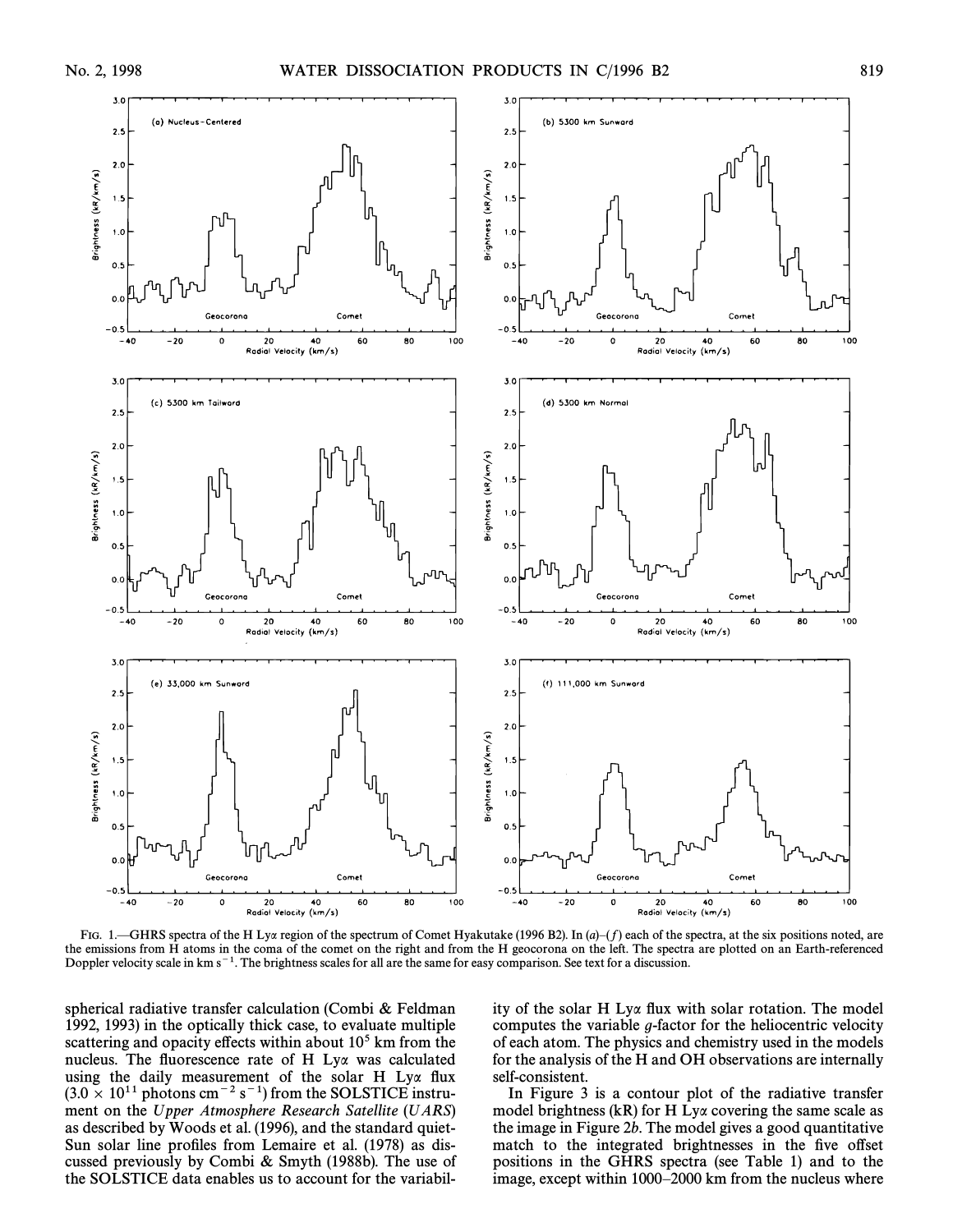

FIG. 1.—GHRS spectra of the H Lya region of the spectrum of Comet Hyakutake (1996 B2). In  $(a)-(f)$  each of the spectra, at the six positions noted, are the emissions from H atoms in the coma of the comet on the right and from the H geocorona on the left. The spectra are plotted on an Earth-referenced Doppler velocity scale in  $km s^{-1}$ . The brightness scales for all are the same for easy comparison. See text for a discussion.

spherical radiative transfer calculation (Combi  $&$  Feldman 1992, 1993) in the optically thick case, to evaluate multiple scattering and opacity effects within about  $10<sup>5</sup>$  km from the nucleus. The fluorescence rate of H Lya was calculated using the daily measurement of the solar H Lya flux  $(3.0 \times 10^{11} \text{ photons cm}^{-2} \text{ s}^{-1})$  from the SOLSTICE instrument on the Upper Atmosphere Research Satellite (UARS) as described by Woods et al. (1996), and the standard quiet-Sun solar line profiles from Lemaire et al. (1978) as discussed previously by Combi  $&$  Smyth (1988b). The use of the SOLSTICE data enables us to account for the variability of the solar H Lya flux with solar rotation. The model computes the variable g-factor for the heliocentric velocity of each atom. The physics and chemistry used in the models for the analysis of the H and OH observations are internally self-consistent.

In Figure 3 is a contour plot of the radiative transfer model brightness (kR) for H Ly $\alpha$  covering the same scale as the image in Figure 2b. The model gives a good quantitative match to the integrated brightnesses in the five offset positions in the GHRS spectra (see Table 1) and to the image, except within 1000-2000 km from the nucleus where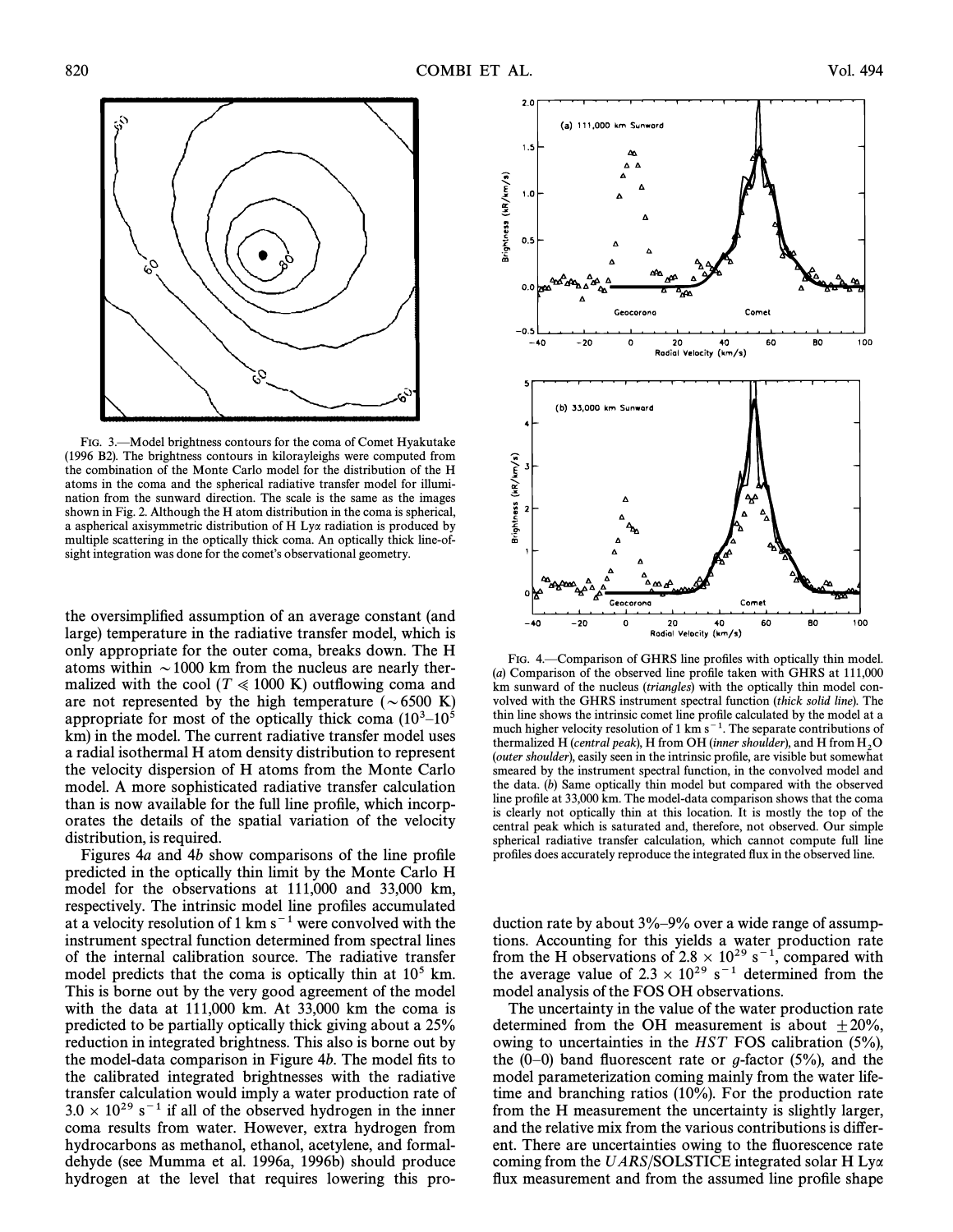

FIG. 3. Alodel brightness contours for the coma of Comet Hyakutake (1996 B2). The brightness contours in kilorayleighs were computed from the combination of the Monte Carlo model for the distribution of the H atoms in the coma and the spherical radiative transfer model for illumination from the sunward direction. The scale is the same as the images shown in Fig. 2. Although the H atom distribution in the coma is spherical, a aspherical axisymmetric distribution of H Lya radiation is produced by multiple scattering in the optically thick coma. An optically thick line-ofsight integration was done for the comet's observational geometry.

the oversimplified assumption of an average constant (and large) temperature in the radiative transfer model, which is only appropriate for the outer coma, breaks down. The H atoms within  $\sim$  1000 km from the nucleus are nearly thermalized with the cool ( $T \ll 1000$  K) outflowing coma and are not represented by the high temperature ( $\sim 6500 \text{ K}$ ) appropriate for most of the optically thick coma  $(10^3-10^5)$ km) in the model. The current radiative transfer model uses a radial isothermal H atom density distribution to represent the velocity dispersion of H atoms from the Monte Carlo model. A more sophisticated radiative transfer calculation than is now available for the full line profile, which incorporates the details of the spatial variation of the velocity distribution, is required.

Figures  $4a$  and  $4b$  show comparisons of the line profile predicted in the optically thin limit by the Monte Carlo H model for the observations at 111,000 and 33,000 km, respectively. The intrinsic model line profiles accumulated at a velocity resolution of 1 km  $s^{-1}$  were convolved with the instrument spectral function determined from spectral lines of the internal calibration source. The radiative transfer model predicts that the coma is optically thin at  $10<sup>5</sup>$  km. This is borne out by the very good agreement of the model with the data at 111,000 km. At 33,000 km the coma is predicted to be partially optically thick giving about a 25% reduction in integrated brightness. This also is borne out by the model-data comparison in Figure  $4b$ . The model fits to the calibrated integrated brightnesses with the radiative transfer calculation would imply a water production rate of  $3.0 \times 10^{29}$  s<sup>-1</sup> if all of the observed hydrogen in the inner coma results from water. However, extra hydrogen from hydrocarbons as methanol, ethanol, acetylene, and formaldehyde (see Mumma et al. 1996a, 1996b) should produce hydrogen at the level that requires lowering this pro-



FIG. 4.—Comparison of GHRS line profiles with optically thin model.  $(a)$  Comparison of the observed line profile taken with GHRS at 111,000 km sunward of the nucleus (triangles) with the optically thin model convolved with the GHRS instrument spectral function (thick solid line). The thin line shows the intrinsic comet line profile calculated by the model at a much higher velocity resolution of  $1 \text{ km s}^{-1}$ . The separate contributions of thermalized H (central peak), H from OH (inner shoulder), and H from  $H_2O$ <br>(outer shoulder), apply seen in the intrinsic profile, are visible but somewhat (outer shoulder), easily seen in the intrinsic profile, are visible but somewhat smeared by the instrument spectral function, in the convolved model and the data.  $(b)$  Same optically thin model but compared with the observed line profile at 33,000 km. The model-data comparison shows that the coma is clearly not optically thin at this location. It is mostly the top of the central peak which is saturated and, therefore, not observed. Our simple spherical radiative transfer calculation, which cannot compute full line profiles does accurately reproduce the integrated flux in the observed line.

duction rate by about  $3\% - 9\%$  over a wide range of assumptions. Accounting for this yields a water production rate from the H observations of 2.8  $\times$  10<sup>29</sup> s<sup>-1</sup>, compared with the average value of  $2.3 \times 10^{29}$  s<sup>-1</sup> determined from the model analysis of the FOS OH observations.

The uncertainty in the value of the water production rate determined from the OH measurement is about  $\pm 20\%$ , owing to uncertainties in the HST FOS calibration (5%), the  $(0-0)$  band fluorescent rate or g-factor (5%), and the model parameterization coming mainly from the water lifetime and branching ratios (10%). For the production rate from the H measurement the uncertainty is slightly larger, and the relative mix from the various contributions is different. There are uncertainties owing to the fluorescence rate coming from the UARS/SOLSTICE integrated solar H Lya flux measurement and from the assumed line profile shape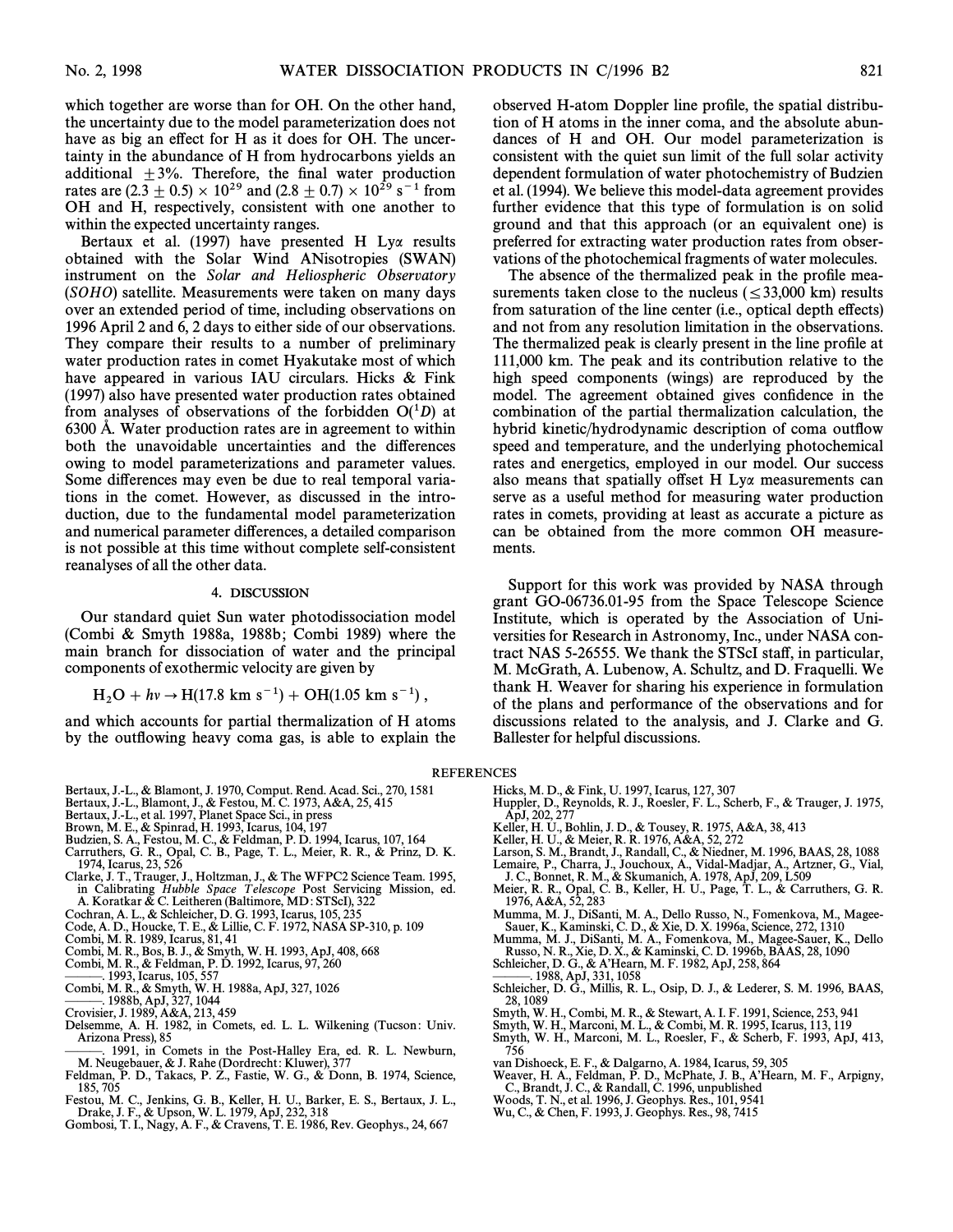which together are worse than for OH. On the other hand, the uncertainty due to the model parameterization does not have as big an effect for H as it does for OH. The uncertainty in the abundance of H from hydrocarbons yields an additional  $\pm 3\%$ . Therefore, the final water production rates are (2.3  $\pm$  0.5)  $\times$  10<sup>29</sup> and (2.8  $\pm$  0.7)  $\times$  10<sup>29</sup> s<sup>-1</sup> from OH and H, respectively, consistent with one another to within the expected uncertainty ranges.

Bertaux et al. (1997) have presented H Ly $\alpha$  results obtained with the Solar Wind ANisotropies (SWAN) instrument on the Solar and Heliospheric Observatory (SOHO) satellite. Measurements were taken on many days over an extended period of time, including observations on 1996 April 2 and 6, 2 days to either side of our observations. They compare their results to a number of preliminary water production rates in comet Hyakutake most of which have appeared in various IAU circulars. Hicks  $\&$  Fink (1997) also have presented water production rates obtained from analyses of observations of the forbidden  $O(^1D)$  at 6300 A. Water production rates are in agreement to within both the unavoidable uncertainties and the differences owing to model parameterizations and parameter values. Some differences may even be due to real temporal variations in the comet. However, as discussed in the introduction, due to the fundamental model parameterization and numerical parameter differences, a detailed comparison is not possible at this time without complete self-consistent reanalyses of all the other data.

#### 4. DISCUSSION

Our standard quiet Sun water photodissociation model (Combi  $&$  Smyth 1988a, 1988b; Combi 1989) where the main branch for dissociation of water and the principal components of exothermic velocity are given by

$$
H_2O + hv \rightarrow H(17.8 \text{ km s}^{-1}) + OH(1.05 \text{ km s}^{-1}),
$$

and which accounts for partial thermalization of H atoms by the outflowing heavy coma gas, is able to explain the observed H-atom Doppler line profile, the spatial distribution of H atoms in the inner coma, and the absolute abundances of H and OH. Our model parameterization is consistent with the quiet sun limit of the full solar activity dependent formulation of water photochemistry of Budzien et al. (1994). We believe this model-data agreement provides further evidence that this type of formulation is on solid ground and that this approach (or an equivalent one) is preferred for extracting water production rates from observations of the photochemical fragments of water molecules.

The absence of the thermalized peak in the profile measurements taken close to the nucleus ( $\leq$ 33,000 km) results from saturation of the line center (i.e., optical depth effects) and not from any resolution limitation in the observations. The thermalized peak is clearly present in the line profile at 111,000 km. The peak and its contribution relative to the high speed components (wings) are reproduced by the model. The agreement obtained gives confidence in the combination of the partial thermalization calculation, the hybrid kinetic/hydrodynamic description of coma outflow speed and temperature, and the underlying photochemical rates and energetics, employed in our model. Our success also means that spatially offset H Ly $\alpha$  measurements can serve as a useful method for measuring water production rates in comets, providing at least as accurate a picture as can be obtained from the more common OH measurements.

Support for this work was provided by NASA through grant GO-06736.01-95 from the Space Telescope Science Institute, which is operated by the Association of Universities for Research in Astronomy, Inc., under NASA contract NAS 5-26555. We thank the STScI staff, in particular, M. McGrath, A. Lubenow, A. Schultz, and D. Fraquelli. We thank H. Weaver for sharing his experience in formulation of the plans and performance of the observations and for discussions related to the analysis, and J. Clarke and G. Ballester for helpful discussions.

#### REFERENCES

- Bertaux, J.-L., & Blamont, J. 1970, Comput. Rend. Acad. Sci., 270, 1581<br>Bertaux, J.-L., Blamont, J., & Festou, M. C. 1973, A&A, 25, 415<br>Bertaux, J.-L., et al. 1997, Planet Space Sci., in press
- 
- 
- 
- 
- Brown, M. E., & Spinrad, H. 1993, Icarus, 104, 197<br>Budzien, S. A., Festou, M. C., & Feldman, P. D. 1994, Icarus, 107, 164<br>Carruthers, G. R., Opal, C. B., Page, T. L., Meier, R. R., & Prinz, D. K. 1974, Icarus, 23, 526
- Clarke, J. T., Trauger, J., Holtzman, J., & The WFPC2 Science Team. 1995, in Calibrating Hubble Space Telescope Post Servicing Mission, ed.<br>A. Koratkar & C. Leitheren (Baltimore, MD: STScI), 322
- Cochran, A. L., & Schleicher, D. G. 1993, Icarus, 105, 23
- Code, A. D., Houcke, T. E., & Lillie, C. F. 1972, NASA SP-310, p. 109
- Combi, M. R. 1989, Icarus, 81, 41
- Combi, M. R., Bos, B. J., & Smyth, W. H. 1993, ApJ, 408, 668
- Combi, M. R., & Feldman, P. D. 1992, Icarus, 97, 260<br>————. 1993, Icarus, 105, 557
- 
- Combi, M. R., & Smyth, W. H. 1988a, ApJ, 327, 1026<br>---------------- 1988b, ApJ, 327, 1044
- 
- Crovisier, J. 1989, A&A, 213, 459
- Delsemme, A. H. 1982, in Comets, ed. L. L. Wilkening (Tucson: Univ. Arizona Press), 85
- 1991, in Comets in the Post-Halley Era, ed. R. L. Newburn, M. Neugebauer, & J. Rahe (Dordrecht: Kluwer), 377 Feldman, P. D., Takacs, P. Z., Fastie, W. G., & Donn, B. 1974, Science,
- 185, 705
- Festou, M. C., Jenkins, G. B., Keller, H. U., Barker, E. S., Bertaux, J. L., Drake, J. F., & Upson, W. L. 1979, ApJ, 232, 318
- Gombosi, T. I., Nagy, A. F., & Cravens, T. E. 1986, Rev. Geophys., 24, 667
- 
- Hicks, M. D., & Fink, U. 1997, Icarus, 127, 307<br>Huppler, D., Reynolds, R. J., Roesler, F. L., Scherb, F., & Trauger, J. 1975,<br>ApJ, 202, 277
- Keller, H. U., Bohlin, J. D., & Tousey, R. 1975, A&A, 38, 413<br>Keller, H. U., & Meier, R. R. 1976, A&A, 52, 272
- 
- Larson, S. M., Brandt, J., Randall, C., & Niedner, M. 1996, BAAS, 28, 1088 Lemaire, P., Charra, J., Jouchoux, A., Vidal-Madjar, A., Artzner, G., Vial, J. C., Bonnet, R. M., & Skumanich, A. 1978, ApJ, 209, L509
- 
- Meier, R. R., Opal, C. B., Keller, H. U., Page, T. L., & Carruthers, G. R. 1976, A&A, 52, 283
- Mumma, M. J., DiSanti, M. A., Dello Russo, N., Fomenkova, M., Magee-Sauer, K., Kaminski, C. D., & Xie, D. X. 1996a, Science, 272, 1310
- Mumma, M. J., DiSanti, M. A., Fomenkova, M., Magee-Sauer, K., Dello Russo, N. R., Xie, D. X., & Kaminski, C. D. 1996b, BAAS, 28, 1090
- Schleicher, D. G., & A'Hearn, M. F. 1982, ApJ, 258, 864
- . 1988, ApJ, 331, 1058
- Schleicher, D. G., Millis, R. L., Osip, D. J., & Lederer, S. M. 1996, BAAS, 28, 1089
- Smyth, W. H., Combi, M. R., & Stewart, A. I. F. 1991, Science, 253, 941
- 
- Smyth, W. H., Marconi, M. L., & Combi, M. R. 1995, Icarus, 113, 119<br>Smyth, W. H., Marconi, M. L., Roesler, F., & Scherb, F. 1993, ApJ, 413, 756
- 
- van Dishoeck, E. F., & Dalgarno, A. 1984, Icarus, 59, 305<br>Weaver, H. A., Feldman, P. D., McPhate, J. B., A'Hearn, M. F., Arpigny,<br>C., Brandt, J. C., & Randall, C. 1996, unpublished
- Woods, T. N., et al. 1996, J. Geophys. Res., 101, 9541
- Wu, C., & Chen, F. 1993, J. Geophys. Res., 98, 7415